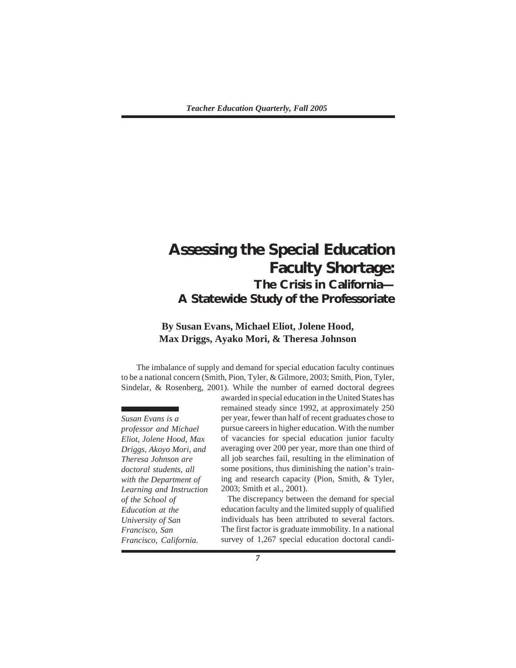# **Assessing the Special Education Faculty Shortage: The Crisis in California— A Statewide Study of the Professoriate**

## **By Susan Evans, Michael Eliot, Jolene Hood, Max Driggs, Ayako Mori, & Theresa Johnson**

The imbalance of supply and demand for special education faculty continues to be a national concern (Smith, Pion, Tyler, & Gilmore, 2003; Smith, Pion, Tyler, Sindelar, & Rosenberg, 2001). While the number of earned doctoral degrees

*Susan Evans is a professor and Michael Eliot, Jolene Hood, Max Driggs, Akoyo Mori, and Theresa Johnson are doctoral students, all with the Department of Learning and Instruction of the School of Education at the University of San Francisco, San Francisco, California.*

awarded in special education in the United States has remained steady since 1992, at approximately 250 per year, fewer than half of recent graduates chose to pursue careers in higher education. With the number of vacancies for special education junior faculty averaging over 200 per year, more than one third of all job searches fail, resulting in the elimination of some positions, thus diminishing the nation's training and research capacity (Pion, Smith, & Tyler, 2003; Smith et al., 2001).

The discrepancy between the demand for special education faculty and the limited supply of qualified individuals has been attributed to several factors. The first factor is graduate immobility. In a national survey of 1,267 special education doctoral candi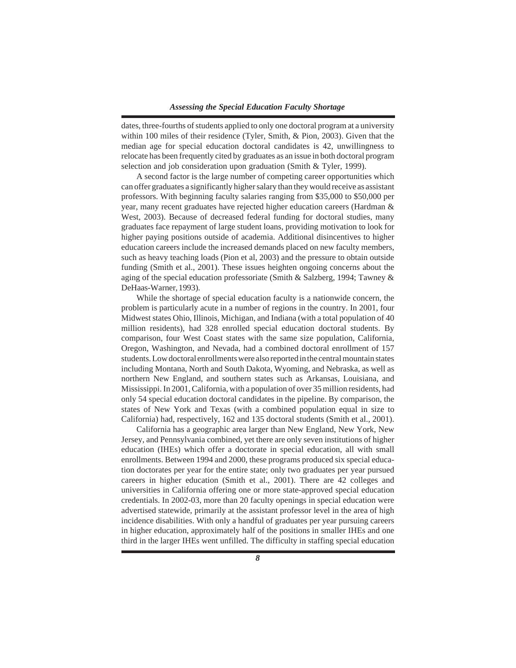dates, three-fourths of students applied to only one doctoral program at a university within 100 miles of their residence (Tyler, Smith, & Pion, 2003). Given that the median age for special education doctoral candidates is 42, unwillingness to relocate has been frequently cited by graduates as an issue in both doctoral program selection and job consideration upon graduation (Smith & Tyler, 1999).

A second factor is the large number of competing career opportunities which can offer graduates a significantly higher salary than they would receive as assistant professors. With beginning faculty salaries ranging from \$35,000 to \$50,000 per year, many recent graduates have rejected higher education careers (Hardman & West, 2003). Because of decreased federal funding for doctoral studies, many graduates face repayment of large student loans, providing motivation to look for higher paying positions outside of academia. Additional disincentives to higher education careers include the increased demands placed on new faculty members, such as heavy teaching loads (Pion et al, 2003) and the pressure to obtain outside funding (Smith et al., 2001). These issues heighten ongoing concerns about the aging of the special education professoriate (Smith & Salzberg, 1994; Tawney & DeHaas-Warner, 1993).

While the shortage of special education faculty is a nationwide concern, the problem is particularly acute in a number of regions in the country. In 2001, four Midwest states Ohio, Illinois, Michigan, and Indiana (with a total population of 40 million residents), had 328 enrolled special education doctoral students. By comparison, four West Coast states with the same size population, California, Oregon, Washington, and Nevada, had a combined doctoral enrollment of 157 students. Low doctoral enrollments were also reported in the central mountain states including Montana, North and South Dakota, Wyoming, and Nebraska, as well as northern New England, and southern states such as Arkansas, Louisiana, and Mississippi. In 2001, California, with a population of over 35 million residents, had only 54 special education doctoral candidates in the pipeline. By comparison, the states of New York and Texas (with a combined population equal in size to California) had, respectively, 162 and 135 doctoral students (Smith et al., 2001).

California has a geographic area larger than New England, New York, New Jersey, and Pennsylvania combined, yet there are only seven institutions of higher education (IHEs) which offer a doctorate in special education, all with small enrollments. Between 1994 and 2000, these programs produced six special education doctorates per year for the entire state; only two graduates per year pursued careers in higher education (Smith et al., 2001). There are 42 colleges and universities in California offering one or more state-approved special education credentials. In 2002-03, more than 20 faculty openings in special education were advertised statewide, primarily at the assistant professor level in the area of high incidence disabilities. With only a handful of graduates per year pursuing careers in higher education, approximately half of the positions in smaller IHEs and one third in the larger IHEs went unfilled. The difficulty in staffing special education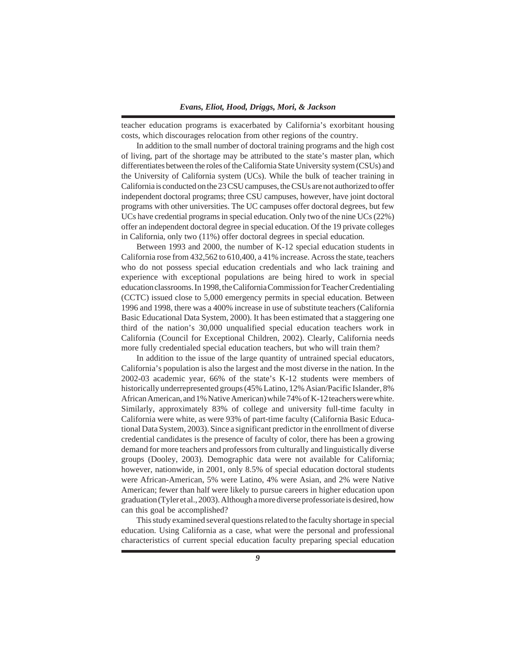teacher education programs is exacerbated by California's exorbitant housing costs, which discourages relocation from other regions of the country.

In addition to the small number of doctoral training programs and the high cost of living, part of the shortage may be attributed to the state's master plan, which differentiates between the roles of the California State University system (CSUs) and the University of California system (UCs). While the bulk of teacher training in California is conducted on the 23 CSU campuses, the CSUs are not authorized to offer independent doctoral programs; three CSU campuses, however, have joint doctoral programs with other universities. The UC campuses offer doctoral degrees, but few UCs have credential programs in special education. Only two of the nine UCs (22%) offer an independent doctoral degree in special education. Of the 19 private colleges in California, only two (11%) offer doctoral degrees in special education.

Between 1993 and 2000, the number of K-12 special education students in California rose from 432,562 to 610,400, a 41% increase. Across the state, teachers who do not possess special education credentials and who lack training and experience with exceptional populations are being hired to work in special education classrooms. In 1998, the California Commission for Teacher Credentialing (CCTC) issued close to 5,000 emergency permits in special education. Between 1996 and 1998, there was a 400% increase in use of substitute teachers (California Basic Educational Data System, 2000). It has been estimated that a staggering one third of the nation's 30,000 unqualified special education teachers work in California (Council for Exceptional Children, 2002). Clearly, California needs more fully credentialed special education teachers, but who will train them?

In addition to the issue of the large quantity of untrained special educators, California's population is also the largest and the most diverse in the nation. In the 2002-03 academic year, 66% of the state's K-12 students were members of historically underrepresented groups (45% Latino, 12% Asian/Pacific Islander, 8% African American, and 1% Native American) while 74% of K-12 teachers were white. Similarly, approximately 83% of college and university full-time faculty in California were white, as were 93% of part-time faculty (California Basic Educational Data System, 2003). Since a significant predictor in the enrollment of diverse credential candidates is the presence of faculty of color, there has been a growing demand for more teachers and professors from culturally and linguistically diverse groups (Dooley, 2003). Demographic data were not available for California; however, nationwide, in 2001, only 8.5% of special education doctoral students were African-American, 5% were Latino, 4% were Asian, and 2% were Native American; fewer than half were likely to pursue careers in higher education upon graduation (Tyler et al., 2003). Although a more diverse professoriate is desired, how can this goal be accomplished?

This study examined several questions related to the faculty shortage in special education. Using California as a case, what were the personal and professional characteristics of current special education faculty preparing special education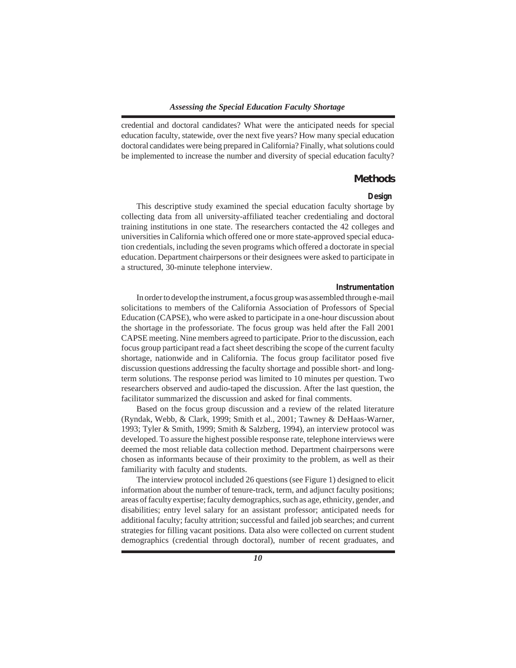credential and doctoral candidates? What were the anticipated needs for special education faculty, statewide, over the next five years? How many special education doctoral candidates were being prepared in California? Finally, what solutions could be implemented to increase the number and diversity of special education faculty?

#### **Methods**

#### *Design*

This descriptive study examined the special education faculty shortage by collecting data from all university-affiliated teacher credentialing and doctoral training institutions in one state. The researchers contacted the 42 colleges and universities in California which offered one or more state-approved special education credentials, including the seven programs which offered a doctorate in special education. Department chairpersons or their designees were asked to participate in a structured, 30-minute telephone interview.

#### *Instrumentation*

In order to develop the instrument, a focus group was assembled through e-mail solicitations to members of the California Association of Professors of Special Education (CAPSE), who were asked to participate in a one-hour discussion about the shortage in the professoriate. The focus group was held after the Fall 2001 CAPSE meeting. Nine members agreed to participate. Prior to the discussion, each focus group participant read a fact sheet describing the scope of the current faculty shortage, nationwide and in California. The focus group facilitator posed five discussion questions addressing the faculty shortage and possible short- and longterm solutions. The response period was limited to 10 minutes per question. Two researchers observed and audio-taped the discussion. After the last question, the facilitator summarized the discussion and asked for final comments.

Based on the focus group discussion and a review of the related literature (Ryndak, Webb, & Clark, 1999; Smith et al., 2001; Tawney & DeHaas-Warner, 1993; Tyler & Smith, 1999; Smith & Salzberg, 1994), an interview protocol was developed. To assure the highest possible response rate, telephone interviews were deemed the most reliable data collection method. Department chairpersons were chosen as informants because of their proximity to the problem, as well as their familiarity with faculty and students.

The interview protocol included 26 questions (see Figure 1) designed to elicit information about the number of tenure-track, term, and adjunct faculty positions; areas of faculty expertise; faculty demographics, such as age, ethnicity, gender, and disabilities; entry level salary for an assistant professor; anticipated needs for additional faculty; faculty attrition; successful and failed job searches; and current strategies for filling vacant positions. Data also were collected on current student demographics (credential through doctoral), number of recent graduates, and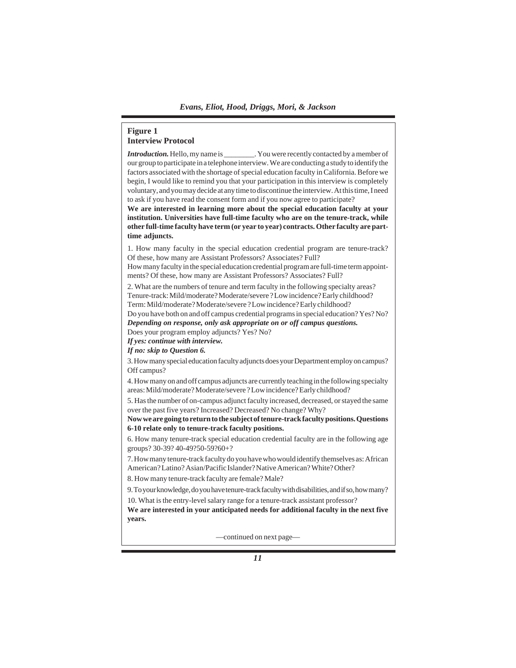## **Figure 1 Interview Protocol**

*Introduction*. Hello, my name is The M<sub>y</sub> You were recently contacted by a member of our group to participate in a telephone interview. We are conducting a study to identify the factors associated with the shortage of special education faculty in California. Before we begin, I would like to remind you that your participation in this interview is completely voluntary, and you may decide at any time to discontinue the interview. At this time, I need to ask if you have read the consent form and if you now agree to participate?

**We are interested in learning more about the special education faculty at your institution. Universities have full-time faculty who are on the tenure-track, while other full-time faculty have term (or year to year) contracts. Other faculty are parttime adjuncts.**

1. How many faculty in the special education credential program are tenure-track? Of these, how many are Assistant Professors? Associates? Full?

How many faculty in the special education credential program are full-time term appointments? Of these, how many are Assistant Professors? Associates? Full?

2. What are the numbers of tenure and term faculty in the following specialty areas? Tenure-track: Mild/moderate? Moderate/severe ? Low incidence? Early childhood? Term: Mild/moderate? Moderate/severe ? Low incidence? Early childhood?

Do you have both on and off campus credential programs in special education? Yes? No? *Depending on response, only ask appropriate on or off campus questions.*

Does your program employ adjuncts? Yes? No?

*If yes: continue with interview.*

*If no: skip to Question 6.*

3. How many special education faculty adjuncts does your Department employ on campus? Off campus?

4. How many on and off campus adjuncts are currently teaching in the following specialty areas: Mild/moderate? Moderate/severe ? Low incidence? Early childhood?

5. Has the number of on-campus adjunct faculty increased, decreased, or stayed the same over the past five years? Increased? Decreased? No change? Why?

**Now we are going to return to the subject of tenure-track faculty positions. Questions 6-10 relate only to tenure-track faculty positions.**

6. How many tenure-track special education credential faculty are in the following age groups? 30-39? 40-49?50-59?60+?

7. How many tenure-track faculty do you have who would identify themselves as: African American? Latino? Asian/Pacific Islander? Native American? White? Other?

8. How many tenure-track faculty are female? Male?

9. To your knowledge, do you have tenure-track faculty with disabilities, and if so, how many?

10. What is the entry-level salary range for a tenure-track assistant professor?

**We are interested in your anticipated needs for additional faculty in the next five years.**

—continued on next page—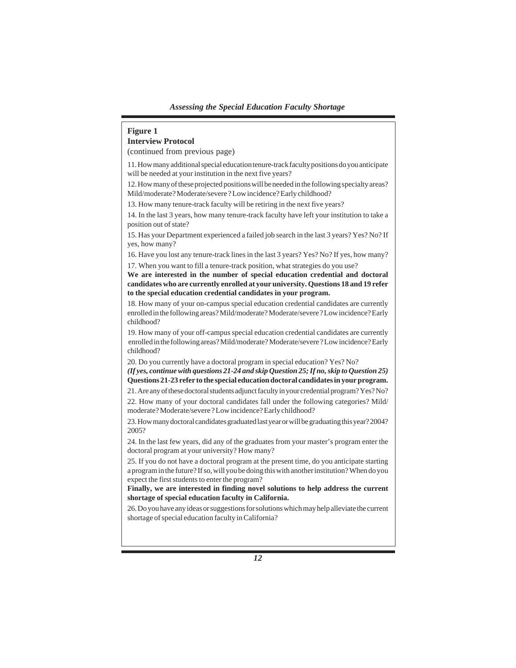## **Figure 1 Interview Protocol**

(continued from previous page)

11. How many additional special education tenure-track faculty positions do you anticipate will be needed at your institution in the next five years?

12. How many of these projected positions will be needed in the following specialty areas? Mild/moderate? Moderate/severe ? Low incidence? Early childhood?

13. How many tenure-track faculty will be retiring in the next five years?

14. In the last 3 years, how many tenure-track faculty have left your institution to take a position out of state?

15. Has your Department experienced a failed job search in the last 3 years? Yes? No? If yes, how many?

16. Have you lost any tenure-track lines in the last 3 years? Yes? No? If yes, how many? 17. When you want to fill a tenure-track position, what strategies do you use?

**We are interested in the number of special education credential and doctoral candidates who are currently enrolled at your university. Questions 18 and 19 refer to the special education credential candidates in your program.**

18. How many of your on-campus special education credential candidates are currently enrolled in the following areas? Mild/moderate? Moderate/severe ? Low incidence? Early childhood?

19. How many of your off-campus special education credential candidates are currently enrolled in the following areas? Mild/moderate? Moderate/severe ? Low incidence? Early childhood?

20. Do you currently have a doctoral program in special education? Yes? No?

*(If yes, continue with questions 21-24 and skip Question 25; If no, skip to Question 25)* **Questions 21-23 refer to the special education doctoral candidates in your program.**

21. Are any of these doctoral students adjunct faculty in your credential program? Yes? No?

22. How many of your doctoral candidates fall under the following categories? Mild/ moderate? Moderate/severe ? Low incidence? Early childhood?

23. How many doctoral candidates graduated last year or will be graduating this year? 2004? 2005?

24. In the last few years, did any of the graduates from your master's program enter the doctoral program at your university? How many?

25. If you do not have a doctoral program at the present time, do you anticipate starting a program in the future? If so, will you be doing this with another institution? When do you expect the first students to enter the program?

**Finally, we are interested in finding novel solutions to help address the current shortage of special education faculty in California.**

26. Do you have any ideas or suggestions for solutions which may help alleviate the current shortage of special education faculty in California?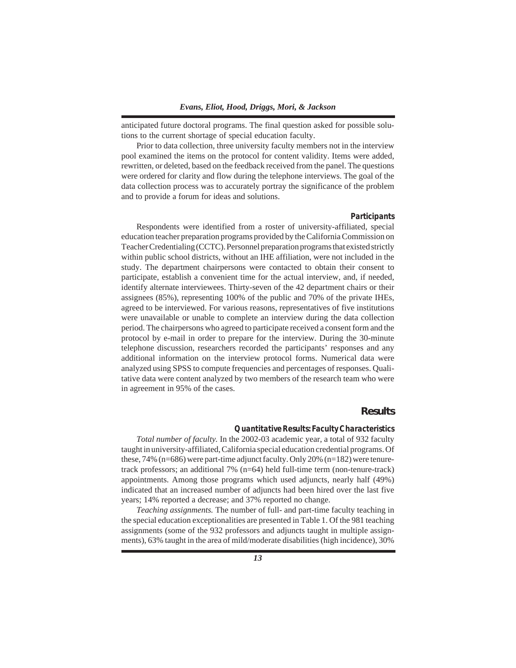anticipated future doctoral programs. The final question asked for possible solutions to the current shortage of special education faculty.

Prior to data collection, three university faculty members not in the interview pool examined the items on the protocol for content validity. Items were added, rewritten, or deleted, based on the feedback received from the panel. The questions were ordered for clarity and flow during the telephone interviews. The goal of the data collection process was to accurately portray the significance of the problem and to provide a forum for ideas and solutions.

#### *Participants*

Respondents were identified from a roster of university-affiliated, special education teacher preparation programs provided by the California Commission on Teacher Credentialing (CCTC). Personnel preparation programs that existed strictly within public school districts, without an IHE affiliation, were not included in the study. The department chairpersons were contacted to obtain their consent to participate, establish a convenient time for the actual interview, and, if needed, identify alternate interviewees. Thirty-seven of the 42 department chairs or their assignees (85%), representing 100% of the public and 70% of the private IHEs, agreed to be interviewed. For various reasons, representatives of five institutions were unavailable or unable to complete an interview during the data collection period. The chairpersons who agreed to participate received a consent form and the protocol by e-mail in order to prepare for the interview. During the 30-minute telephone discussion, researchers recorded the participants' responses and any additional information on the interview protocol forms. Numerical data were analyzed using SPSS to compute frequencies and percentages of responses. Qualitative data were content analyzed by two members of the research team who were in agreement in 95% of the cases.

## **Results**

#### *Quantitative Results: Faculty Characteristics*

*Total number of faculty.* In the 2002-03 academic year, a total of 932 faculty taught in university-affiliated, California special education credential programs. Of these, 74% (n=686) were part-time adjunct faculty. Only 20% (n=182) were tenuretrack professors; an additional 7% (n=64) held full-time term (non-tenure-track) appointments. Among those programs which used adjuncts, nearly half (49%) indicated that an increased number of adjuncts had been hired over the last five years; 14% reported a decrease; and 37% reported no change.

*Teaching assignments.* The number of full- and part-time faculty teaching in the special education exceptionalities are presented in Table 1. Of the 981 teaching assignments (some of the 932 professors and adjuncts taught in multiple assignments), 63% taught in the area of mild/moderate disabilities (high incidence), 30%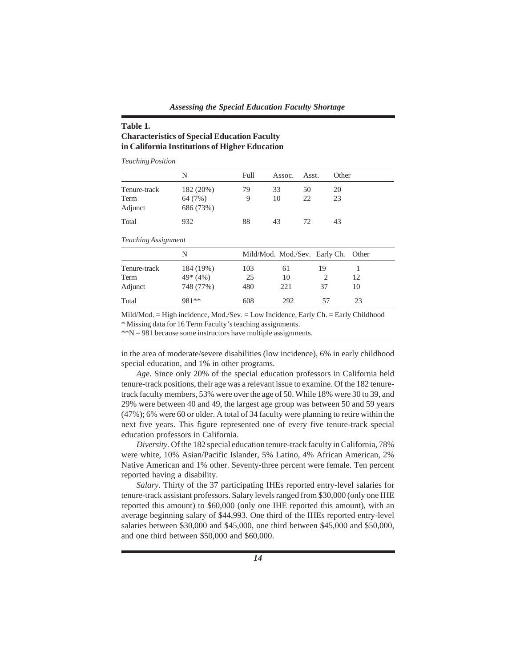## **Table 1. Characteristics of Special Education Faculty in California Institutions of Higher Education**

*Teaching Position*

|                 | N                    | Full | Assoc. | Asst. | Other |
|-----------------|----------------------|------|--------|-------|-------|
| Tenure-track    | 182 (20%)            | 79   | 33     | 50    | 20    |
| Term<br>Adjunct | 64 (7%)<br>686 (73%) | 9    | 10     | 22    | 23    |
| Total           | 932                  | 88   | 43     | 72    | 43    |

*Teaching Assignment*

|              | N         |     | Mild/Mod. Mod./Sev. Early Ch. Other |    |     |  |
|--------------|-----------|-----|-------------------------------------|----|-----|--|
| Tenure-track | 184 (19%) | 103 | 61                                  | 19 |     |  |
| Term         | $49*(4%)$ | 25  | 10                                  |    | 12. |  |
| Adjunct      | 748 (77%) | 480 | 221                                 | 37 | 10  |  |
| Total        | 981**     | 608 | 292                                 | 57 | 23  |  |

Mild/Mod. = High incidence, Mod./Sev. = Low Incidence, Early Ch. = Early Childhood \* Missing data for 16 Term Faculty's teaching assignments.

\*\*N = 981 because some instructors have multiple assignments.

in the area of moderate/severe disabilities (low incidence), 6% in early childhood special education, and 1% in other programs.

*Age.* Since only 20% of the special education professors in California held tenure-track positions, their age was a relevant issue to examine. Of the 182 tenuretrack faculty members, 53% were over the age of 50. While 18% were 30 to 39, and 29% were between 40 and 49, the largest age group was between 50 and 59 years (47%); 6% were 60 or older. A total of 34 faculty were planning to retire within the next five years. This figure represented one of every five tenure-track special education professors in California.

*Diversity.* Of the 182 special education tenure-track faculty in California, 78% were white, 10% Asian/Pacific Islander, 5% Latino, 4% African American, 2% Native American and 1% other. Seventy-three percent were female. Ten percent reported having a disability.

*Salary.* Thirty of the 37 participating IHEs reported entry-level salaries for tenure-track assistant professors. Salary levels ranged from \$30,000 (only one IHE reported this amount) to \$60,000 (only one IHE reported this amount), with an average beginning salary of \$44,993. One third of the IHEs reported entry-level salaries between \$30,000 and \$45,000, one third between \$45,000 and \$50,000, and one third between \$50,000 and \$60,000.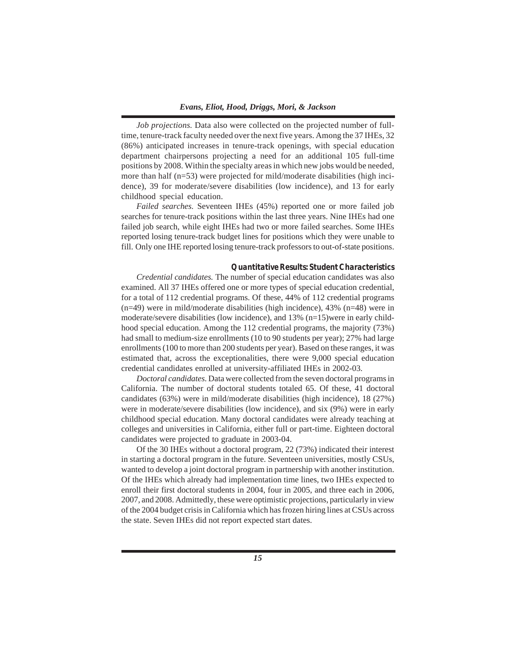*Job projections.* Data also were collected on the projected number of fulltime, tenure-track faculty needed over the next five years. Among the 37 IHEs, 32 (86%) anticipated increases in tenure-track openings, with special education department chairpersons projecting a need for an additional 105 full-time positions by 2008. Within the specialty areas in which new jobs would be needed, more than half (n=53) were projected for mild/moderate disabilities (high incidence), 39 for moderate/severe disabilities (low incidence), and 13 for early childhood special education.

*Failed searches.* Seventeen IHEs (45%) reported one or more failed job searches for tenure-track positions within the last three years. Nine IHEs had one failed job search, while eight IHEs had two or more failed searches. Some IHEs reported losing tenure-track budget lines for positions which they were unable to fill. Only one IHE reported losing tenure-track professors to out-of-state positions.

#### *Quantitative Results: Student Characteristics*

*Credential candidates.* The number of special education candidates was also examined. All 37 IHEs offered one or more types of special education credential, for a total of 112 credential programs. Of these, 44% of 112 credential programs (n=49) were in mild/moderate disabilities (high incidence), 43% (n=48) were in moderate/severe disabilities (low incidence), and 13% (n=15)were in early childhood special education. Among the 112 credential programs, the majority (73%) had small to medium-size enrollments (10 to 90 students per year); 27% had large enrollments (100 to more than 200 students per year). Based on these ranges, it was estimated that, across the exceptionalities, there were 9,000 special education credential candidates enrolled at university-affiliated IHEs in 2002-03.

*Doctoral candidates.* Data were collected from the seven doctoral programs in California. The number of doctoral students totaled 65. Of these, 41 doctoral candidates (63%) were in mild/moderate disabilities (high incidence), 18 (27%) were in moderate/severe disabilities (low incidence), and six (9%) were in early childhood special education. Many doctoral candidates were already teaching at colleges and universities in California, either full or part-time. Eighteen doctoral candidates were projected to graduate in 2003-04.

Of the 30 IHEs without a doctoral program, 22 (73%) indicated their interest in starting a doctoral program in the future. Seventeen universities, mostly CSUs, wanted to develop a joint doctoral program in partnership with another institution. Of the IHEs which already had implementation time lines, two IHEs expected to enroll their first doctoral students in 2004, four in 2005, and three each in 2006, 2007, and 2008. Admittedly, these were optimistic projections, particularly in view of the 2004 budget crisis in California which has frozen hiring lines at CSUs across the state. Seven IHEs did not report expected start dates.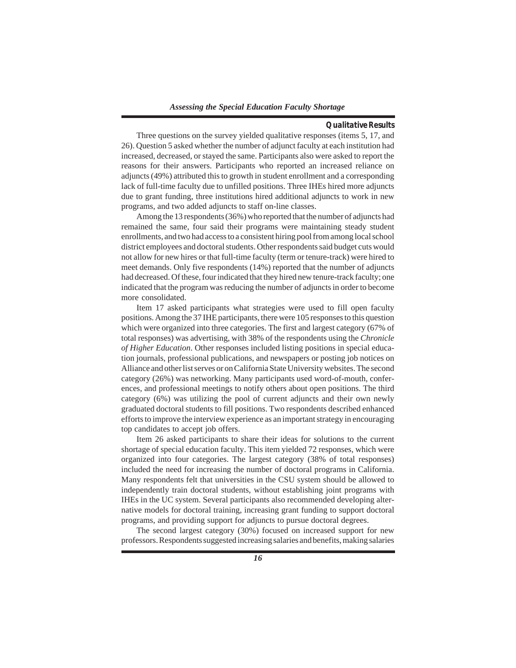## *Qualitative Results*

Three questions on the survey yielded qualitative responses (items 5, 17, and 26). Question 5 asked whether the number of adjunct faculty at each institution had increased, decreased, or stayed the same. Participants also were asked to report the reasons for their answers. Participants who reported an increased reliance on adjuncts (49%) attributed this to growth in student enrollment and a corresponding lack of full-time faculty due to unfilled positions. Three IHEs hired more adjuncts due to grant funding, three institutions hired additional adjuncts to work in new programs, and two added adjuncts to staff on-line classes.

Among the 13 respondents (36%) who reported that the number of adjuncts had remained the same, four said their programs were maintaining steady student enrollments, and two had access to a consistent hiring pool from among local school district employees and doctoral students. Other respondents said budget cuts would not allow for new hires or that full-time faculty (term or tenure-track) were hired to meet demands. Only five respondents (14%) reported that the number of adjuncts had decreased. Of these, four indicated that they hired new tenure-track faculty; one indicated that the program was reducing the number of adjuncts in order to become more consolidated.

Item 17 asked participants what strategies were used to fill open faculty positions. Among the 37 IHE participants, there were 105 responses to this question which were organized into three categories. The first and largest category (67% of total responses) was advertising, with 38% of the respondents using the *Chronicle of Higher Education*. Other responses included listing positions in special education journals, professional publications, and newspapers or posting job notices on Alliance and other list serves or on California State University websites. The second category (26%) was networking. Many participants used word-of-mouth, conferences, and professional meetings to notify others about open positions. The third category (6%) was utilizing the pool of current adjuncts and their own newly graduated doctoral students to fill positions. Two respondents described enhanced efforts to improve the interview experience as an important strategy in encouraging top candidates to accept job offers.

Item 26 asked participants to share their ideas for solutions to the current shortage of special education faculty. This item yielded 72 responses, which were organized into four categories. The largest category (38% of total responses) included the need for increasing the number of doctoral programs in California. Many respondents felt that universities in the CSU system should be allowed to independently train doctoral students, without establishing joint programs with IHEs in the UC system. Several participants also recommended developing alternative models for doctoral training, increasing grant funding to support doctoral programs, and providing support for adjuncts to pursue doctoral degrees.

The second largest category (30%) focused on increased support for new professors. Respondents suggested increasing salaries and benefits, making salaries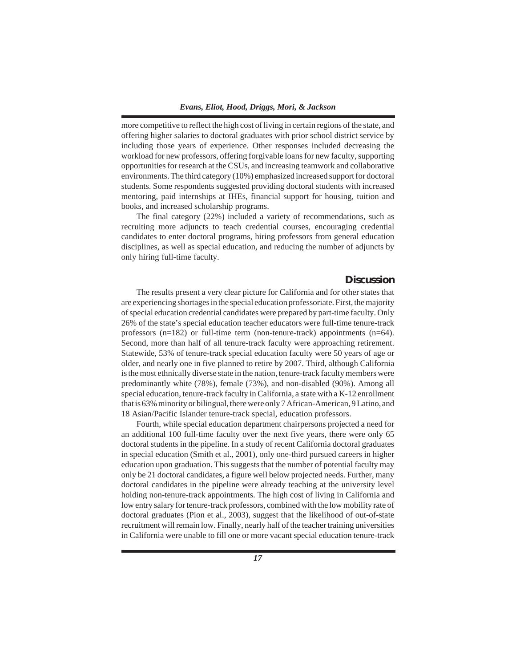more competitive to reflect the high cost of living in certain regions of the state, and offering higher salaries to doctoral graduates with prior school district service by including those years of experience. Other responses included decreasing the workload for new professors, offering forgivable loans for new faculty, supporting opportunities for research at the CSUs, and increasing teamwork and collaborative environments. The third category (10%) emphasized increased support for doctoral students. Some respondents suggested providing doctoral students with increased mentoring, paid internships at IHEs, financial support for housing, tuition and books, and increased scholarship programs.

The final category (22%) included a variety of recommendations, such as recruiting more adjuncts to teach credential courses, encouraging credential candidates to enter doctoral programs, hiring professors from general education disciplines, as well as special education, and reducing the number of adjuncts by only hiring full-time faculty.

## **Discussion**

The results present a very clear picture for California and for other states that are experiencing shortages in the special education professoriate. First, the majority of special education credential candidates were prepared by part-time faculty. Only 26% of the state's special education teacher educators were full-time tenure-track professors (n=182) or full-time term (non-tenure-track) appointments (n=64). Second, more than half of all tenure-track faculty were approaching retirement. Statewide, 53% of tenure-track special education faculty were 50 years of age or older, and nearly one in five planned to retire by 2007. Third, although California is the most ethnically diverse state in the nation, tenure-track faculty members were predominantly white (78%), female (73%), and non-disabled (90%). Among all special education, tenure-track faculty in California, a state with a K-12 enrollment that is 63% minority or bilingual, there were only 7 African-American, 9 Latino, and 18 Asian/Pacific Islander tenure-track special, education professors.

Fourth, while special education department chairpersons projected a need for an additional 100 full-time faculty over the next five years, there were only 65 doctoral students in the pipeline. In a study of recent California doctoral graduates in special education (Smith et al., 2001), only one-third pursued careers in higher education upon graduation. This suggests that the number of potential faculty may only be 21 doctoral candidates, a figure well below projected needs. Further, many doctoral candidates in the pipeline were already teaching at the university level holding non-tenure-track appointments. The high cost of living in California and low entry salary for tenure-track professors, combined with the low mobility rate of doctoral graduates (Pion et al., 2003), suggest that the likelihood of out-of-state recruitment will remain low. Finally, nearly half of the teacher training universities in California were unable to fill one or more vacant special education tenure-track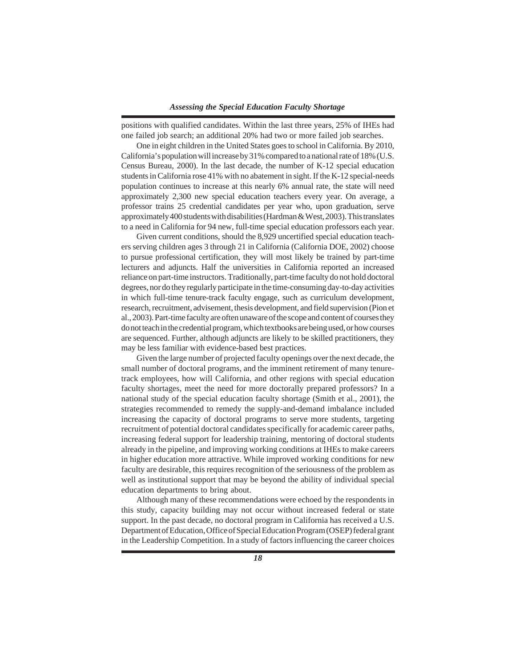positions with qualified candidates. Within the last three years, 25% of IHEs had one failed job search; an additional 20% had two or more failed job searches.

One in eight children in the United States goes to school in California. By 2010, California's population will increase by 31% compared to a national rate of 18% (U.S. Census Bureau, 2000). In the last decade, the number of K-12 special education students in California rose 41% with no abatement in sight. If the K-12 special-needs population continues to increase at this nearly 6% annual rate, the state will need approximately 2,300 new special education teachers every year. On average, a professor trains 25 credential candidates per year who, upon graduation, serve approximately 400 students with disabilities (Hardman & West, 2003). This translates to a need in California for 94 new, full-time special education professors each year.

Given current conditions, should the 8,929 uncertified special education teachers serving children ages 3 through 21 in California (California DOE, 2002) choose to pursue professional certification, they will most likely be trained by part-time lecturers and adjuncts. Half the universities in California reported an increased reliance on part-time instructors. Traditionally, part-time faculty do not hold doctoral degrees, nor do they regularly participate in the time-consuming day-to-day activities in which full-time tenure-track faculty engage, such as curriculum development, research, recruitment, advisement, thesis development, and field supervision (Pion et al., 2003). Part-time faculty are often unaware of the scope and content of courses they do not teach in the credential program, which textbooks are being used, or how courses are sequenced. Further, although adjuncts are likely to be skilled practitioners, they may be less familiar with evidence-based best practices.

Given the large number of projected faculty openings over the next decade, the small number of doctoral programs, and the imminent retirement of many tenuretrack employees, how will California, and other regions with special education faculty shortages, meet the need for more doctorally prepared professors? In a national study of the special education faculty shortage (Smith et al., 2001), the strategies recommended to remedy the supply-and-demand imbalance included increasing the capacity of doctoral programs to serve more students, targeting recruitment of potential doctoral candidates specifically for academic career paths, increasing federal support for leadership training, mentoring of doctoral students already in the pipeline, and improving working conditions at IHEs to make careers in higher education more attractive. While improved working conditions for new faculty are desirable, this requires recognition of the seriousness of the problem as well as institutional support that may be beyond the ability of individual special education departments to bring about.

Although many of these recommendations were echoed by the respondents in this study, capacity building may not occur without increased federal or state support. In the past decade, no doctoral program in California has received a U.S. Department of Education, Office of Special Education Program (OSEP) federal grant in the Leadership Competition. In a study of factors influencing the career choices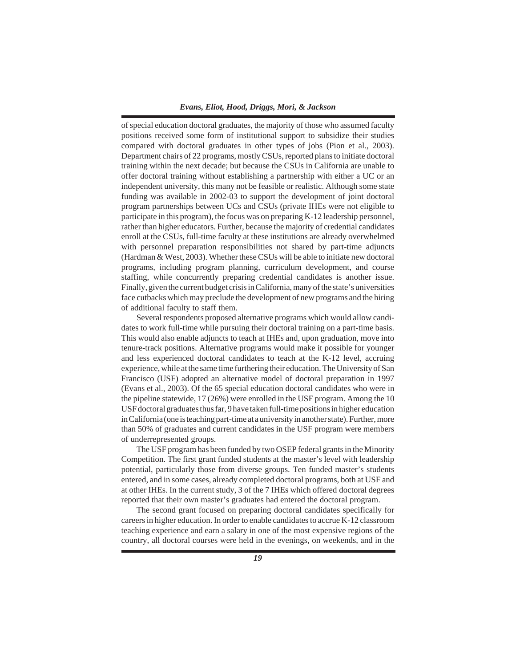of special education doctoral graduates, the majority of those who assumed faculty positions received some form of institutional support to subsidize their studies compared with doctoral graduates in other types of jobs (Pion et al., 2003). Department chairs of 22 programs, mostly CSUs, reported plans to initiate doctoral training within the next decade; but because the CSUs in California are unable to offer doctoral training without establishing a partnership with either a UC or an independent university, this many not be feasible or realistic. Although some state funding was available in 2002-03 to support the development of joint doctoral program partnerships between UCs and CSUs (private IHEs were not eligible to participate in this program), the focus was on preparing K-12 leadership personnel, rather than higher educators. Further, because the majority of credential candidates enroll at the CSUs, full-time faculty at these institutions are already overwhelmed with personnel preparation responsibilities not shared by part-time adjuncts (Hardman & West, 2003). Whether these CSUs will be able to initiate new doctoral programs, including program planning, curriculum development, and course staffing, while concurrently preparing credential candidates is another issue. Finally, given the current budget crisis in California, many of the state's universities face cutbacks which may preclude the development of new programs and the hiring of additional faculty to staff them.

Several respondents proposed alternative programs which would allow candidates to work full-time while pursuing their doctoral training on a part-time basis. This would also enable adjuncts to teach at IHEs and, upon graduation, move into tenure-track positions. Alternative programs would make it possible for younger and less experienced doctoral candidates to teach at the K-12 level, accruing experience, while at the same time furthering their education. The University of San Francisco (USF) adopted an alternative model of doctoral preparation in 1997 (Evans et al., 2003). Of the 65 special education doctoral candidates who were in the pipeline statewide, 17 (26%) were enrolled in the USF program. Among the 10 USF doctoral graduates thus far, 9 have taken full-time positions in higher education in California (one is teaching part-time at a university in another state). Further, more than 50% of graduates and current candidates in the USF program were members of underrepresented groups.

The USF program has been funded by two OSEP federal grants in the Minority Competition. The first grant funded students at the master's level with leadership potential, particularly those from diverse groups. Ten funded master's students entered, and in some cases, already completed doctoral programs, both at USF and at other IHEs. In the current study, 3 of the 7 IHEs which offered doctoral degrees reported that their own master's graduates had entered the doctoral program.

The second grant focused on preparing doctoral candidates specifically for careers in higher education. In order to enable candidates to accrue K-12 classroom teaching experience and earn a salary in one of the most expensive regions of the country, all doctoral courses were held in the evenings, on weekends, and in the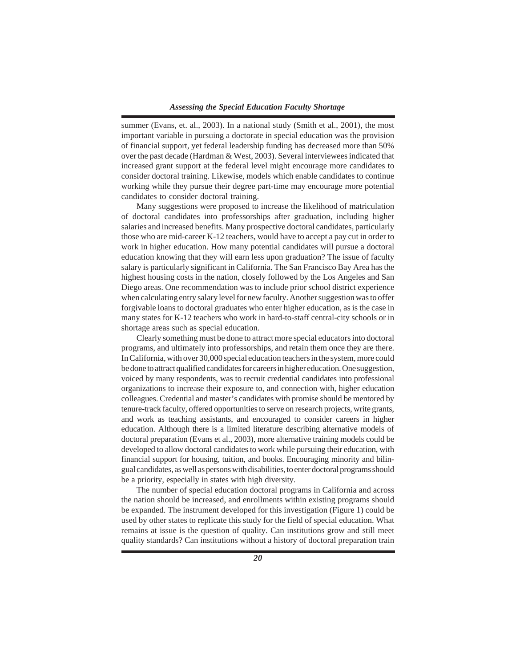summer (Evans, et. al., 2003). In a national study (Smith et al., 2001), the most important variable in pursuing a doctorate in special education was the provision of financial support, yet federal leadership funding has decreased more than 50% over the past decade (Hardman & West, 2003). Several interviewees indicated that increased grant support at the federal level might encourage more candidates to consider doctoral training. Likewise, models which enable candidates to continue working while they pursue their degree part-time may encourage more potential candidates to consider doctoral training.

Many suggestions were proposed to increase the likelihood of matriculation of doctoral candidates into professorships after graduation, including higher salaries and increased benefits. Many prospective doctoral candidates, particularly those who are mid-career K-12 teachers, would have to accept a pay cut in order to work in higher education. How many potential candidates will pursue a doctoral education knowing that they will earn less upon graduation? The issue of faculty salary is particularly significant in California. The San Francisco Bay Area has the highest housing costs in the nation, closely followed by the Los Angeles and San Diego areas. One recommendation was to include prior school district experience when calculating entry salary level for new faculty. Another suggestion was to offer forgivable loans to doctoral graduates who enter higher education, as is the case in many states for K-12 teachers who work in hard-to-staff central-city schools or in shortage areas such as special education.

Clearly something must be done to attract more special educators into doctoral programs, and ultimately into professorships, and retain them once they are there. In California, with over 30,000 special education teachers in the system, more could be done to attract qualified candidates for careers in higher education. One suggestion, voiced by many respondents, was to recruit credential candidates into professional organizations to increase their exposure to, and connection with, higher education colleagues. Credential and master's candidates with promise should be mentored by tenure-track faculty, offered opportunities to serve on research projects, write grants, and work as teaching assistants, and encouraged to consider careers in higher education. Although there is a limited literature describing alternative models of doctoral preparation (Evans et al., 2003), more alternative training models could be developed to allow doctoral candidates to work while pursuing their education, with financial support for housing, tuition, and books. Encouraging minority and bilingual candidates, as well as persons with disabilities, to enter doctoral programs should be a priority, especially in states with high diversity.

The number of special education doctoral programs in California and across the nation should be increased, and enrollments within existing programs should be expanded. The instrument developed for this investigation (Figure 1) could be used by other states to replicate this study for the field of special education. What remains at issue is the question of quality. Can institutions grow and still meet quality standards? Can institutions without a history of doctoral preparation train